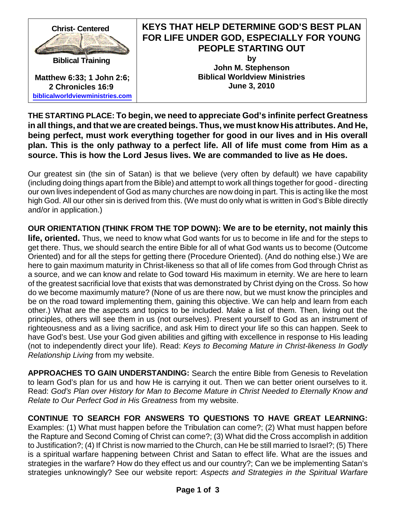

**THE STARTING PLACE: To begin, we need to appreciate God's infinite perfect Greatness in all things, and that we are created beings. Thus, we must know His attributes. And He, being perfect, must work everything together for good in our lives and in His overall plan. This is the only pathway to a perfect life. All of life must come from Him as a source. This is how the Lord Jesus lives. We are commanded to live as He does.**

Our greatest sin (the sin of Satan) is that we believe (very often by default) we have capability (including doing things apart from the Bible) and attempt to work all things together for good - directing our own lives independent of God as many churches are now doing in part. This is acting like the most high God. All our other sin is derived from this. (We must do only what is written in God's Bible directly and/or in application.)

**OUR ORIENTATION (THINK FROM THE TOP DOWN): We are to be eternity, not mainly this life, oriented.** Thus, we need to know what God wants for us to become in life and for the steps to get there. Thus, we should search the entire Bible for all of what God wants us to become (Outcome Oriented) and for all the steps for getting there (Procedure Oriented). (And do nothing else.) We are here to gain maximum maturity in Christ-likeness so that all of life comes from God through Christ as a source, and we can know and relate to God toward His maximum in eternity. We are here to learn of the greatest sacrificial love that exists that was demonstrated by Christ dying on the Cross. So how do we become maximumly mature? (None of us are there now, but we must know the principles and be on the road toward implementing them, gaining this objective. We can help and learn from each other.) What are the aspects and topics to be included. Make a list of them. Then, living out the principles, others will see them in us (not ourselves). Present yourself to God as an instrument of righteousness and as a living sacrifice, and ask Him to direct your life so this can happen. Seek to have God's best. Use your God given abilities and gifting with excellence in response to His leading (not to independently direct your life). Read: *Keys to Becoming Mature in Christ-likeness In Godly Relationship Living* from my website.

**APPROACHES TO GAIN UNDERSTANDING:** Search the entire Bible from Genesis to Revelation to learn God's plan for us and how He is carrying it out. Then we can better orient ourselves to it. Read: *God's Plan over History for Man to Become Mature in Christ Needed to Eternally Know and Relate to Our Perfect God in His Greatness* from my website.

**CONTINUE TO SEARCH FOR ANSWERS TO QUESTIONS TO HAVE GREAT LEARNING:** Examples: (1) What must happen before the Tribulation can come?; (2) What must happen before the Rapture and Second Coming of Christ can come?; (3) What did the Cross accomplish in addition to Justification?; (4) If Christ is now married to the Church, can He be still married to Israel?; (5) There is a spiritual warfare happening between Christ and Satan to effect life. What are the issues and strategies in the warfare? How do they effect us and our country?; Can we be implementing Satan's strategies unknowingly? See our website report: *Aspects and Strategies in the Spiritual Warfare*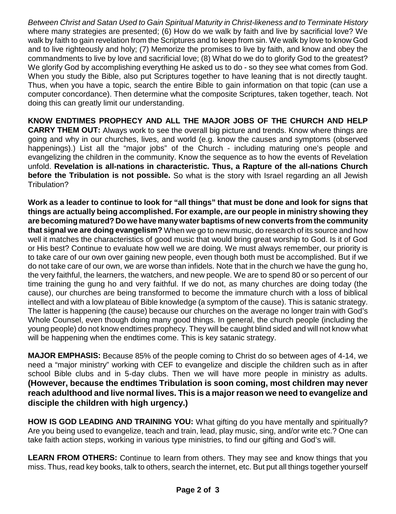*Between Christ and Satan Used to Gain Spiritual Maturity in Christ-likeness and to Terminate History* where many strategies are presented; (6) How do we walk by faith and live by sacrificial love? We walk by faith to gain revelation from the Scriptures and to keep from sin. We walk by love to know God and to live righteously and holy; (7) Memorize the promises to live by faith, and know and obey the commandments to live by love and sacrificial love; (8) What do we do to glorify God to the greatest? We glorify God by accomplishing everything He asked us to do - so they see what comes from God. When you study the Bible, also put Scriptures together to have leaning that is not directly taught. Thus, when you have a topic, search the entire Bible to gain information on that topic (can use a computer concordance). Then determine what the composite Scriptures, taken together, teach. Not doing this can greatly limit our understanding.

**KNOW ENDTIMES PROPHECY AND ALL THE MAJOR JOBS OF THE CHURCH AND HELP CARRY THEM OUT:** Always work to see the overall big picture and trends. Know where things are going and why in our churches, lives, and world (e.g. know the causes and symptoms (observed happenings).) List all the "major jobs" of the Church - including maturing one's people and evangelizing the children in the community. Know the sequence as to how the events of Revelation unfold. **Revelation is all-nations in characteristic. Thus, a Rapture of the all-nations Church before the Tribulation is not possible.** So what is the story with Israel regarding an all Jewish Tribulation?

Work as a leader to continue to look for "all things" that must be done and look for signs that **things are actually being accomplished. For example, are our people in ministry showing they are becoming matured? Do we have manywater baptisms of new converts from the community that signal we are doing evangelism?** When we go to new music, do research of its source and how well it matches the characteristics of good music that would bring great worship to God. Is it of God or His best? Continue to evaluate how well we are doing. We must always remember, our priority is to take care of our own over gaining new people, even though both must be accomplished. But if we do not take care of our own, we are worse than infidels. Note that in the church we have the gung ho, the very faithful, the learners, the watchers, and new people. We are to spend 80 or so percent of our time training the gung ho and very faithful. If we do not, as many churches are doing today (the cause), our churches are being transformed to become the immature church with a loss of biblical intellect and with a low plateau of Bible knowledge (a symptom of the cause). This is satanic strategy. The latter is happening (the cause) because our churches on the average no longer train with God's Whole Counsel, even though doing many good things. In general, the church people (including the young people) do not know endtimes prophecy. They will be caught blind sided and will not know what will be happening when the endtimes come. This is key satanic strategy.

**MAJOR EMPHASIS:** Because 85% of the people coming to Christ do so between ages of 4-14, we need a "major ministry" working with CEF to evangelize and disciple the children such as in after school Bible clubs and in 5-day clubs. Then we will have more people in ministry as adults. **(However, because the endtimes Tribulation is soon coming, most children may never reach adulthood and live normal lives. This is a majorreason we need to evangelize and disciple the children with high urgency.)**

**HOW IS GOD LEADING AND TRAINING YOU:** What gifting do you have mentally and spiritually? Are you being used to evangelize, teach and train, lead, play music, sing, and/or write etc.? One can take faith action steps, working in various type ministries, to find our gifting and God's will.

**LEARN FROM OTHERS:** Continue to learn from others. They may see and know things that you miss. Thus, read key books, talk to others, search the internet, etc. But put all things together yourself